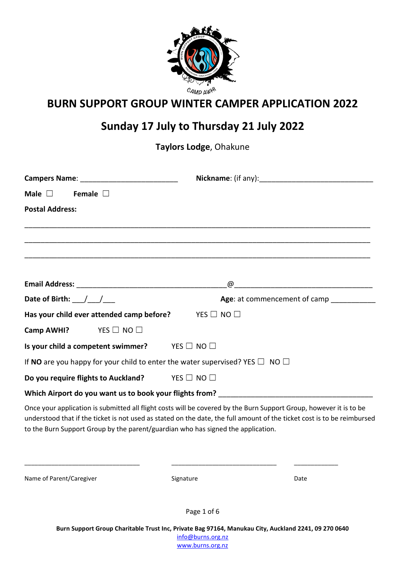

## BURN SUPPORT GROUP WINTER CAMPER APPLICATION 2022

# Sunday 17 July to Thursday 21 July 2022

Taylors Lodge, Ohakune

| Male $\square$ Female $\square$                                                        |                              |
|----------------------------------------------------------------------------------------|------------------------------|
| <b>Postal Address:</b>                                                                 |                              |
|                                                                                        |                              |
|                                                                                        |                              |
|                                                                                        |                              |
|                                                                                        |                              |
| Date of Birth: $\angle$                                                                | Age: at commencement of camp |
| Has your child ever attended camp before? YES $\Box$ NO $\Box$                         |                              |
| Camp AWHI? YES $\Box$ NO $\Box$                                                        |                              |
| Is your child a competent swimmer? YES $\Box$ NO $\Box$                                |                              |
| If NO are you happy for your child to enter the water supervised? YES $\Box$ NO $\Box$ |                              |
| Do you require flights to Auckland? YES $\Box$ NO $\Box$                               |                              |
| Which Airport do you want us to book your flights from?                                |                              |

Once your application is submitted all flight costs will be covered by the Burn Support Group, however it is to be understood that if the ticket is not used as stated on the date, the full amount of the ticket cost is to be reimbursed to the Burn Support Group by the parent/guardian who has signed the application.

\_\_\_\_\_\_\_\_\_\_\_\_\_\_\_\_\_\_\_\_\_\_\_\_\_\_\_\_\_\_\_\_\_\_ \_\_\_\_\_\_\_\_\_\_\_\_\_\_\_\_\_\_\_\_\_\_\_\_\_\_\_\_\_\_\_ \_\_\_\_\_\_\_\_\_\_\_\_\_

Name of Parent/Caregiver Signature Signature Date

Page 1 of 6

Burn Support Group Charitable Trust Inc, Private Bag 97164, Manukau City, Auckland 2241, 09 270 0640 info@burns.org.nz

www.burns.org.nz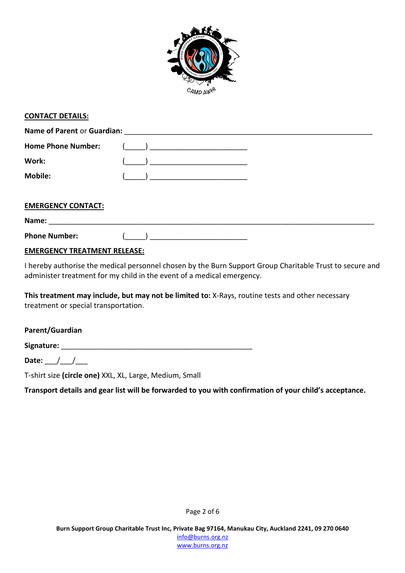

#### CONTACT DETAILS:

| Name of Parent or Guardian: |                |  |  |  |
|-----------------------------|----------------|--|--|--|
| <b>Home Phone Number:</b>   | $\overline{a}$ |  |  |  |
| Work:                       |                |  |  |  |
| <b>Mobile:</b>              |                |  |  |  |
|                             |                |  |  |  |
| <b>EMERGENCY CONTACT:</b>   |                |  |  |  |

| Name:                |  |
|----------------------|--|
| <b>Phone Number:</b> |  |

#### EMERGENCY TREATMENT RELEASE:

I hereby authorise the medical personnel chosen by the Burn Support Group Charitable Trust to secure and administer treatment for my child in the event of a medical emergency.

This treatment may include, but may not be limited to: X-Rays, routine tests and other necessary treatment or special transportation.

### Parent/Guardian

Signature: \_\_\_\_\_\_\_\_\_\_\_\_\_\_\_\_\_\_\_\_\_\_\_\_\_\_\_\_\_\_\_\_\_\_\_\_\_\_\_\_\_\_\_\_\_\_\_

Date:  $/$  /

T-shirt size (circle one) XXL, XL, Large, Medium, Small

Transport details and gear list will be forwarded to you with confirmation of your child's acceptance.

Page 2 of 6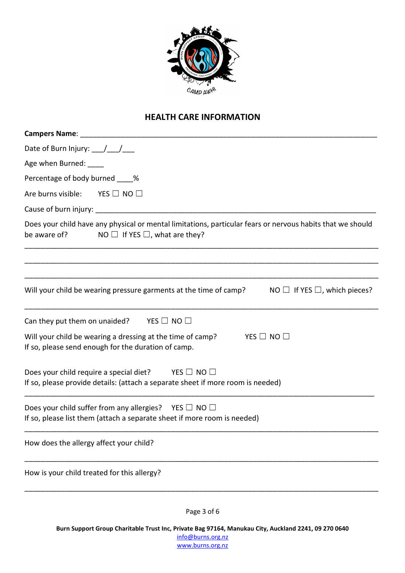

## HEALTH CARE INFORMATION

| Campers Name:                                                                                                                                                          |  |  |  |  |
|------------------------------------------------------------------------------------------------------------------------------------------------------------------------|--|--|--|--|
| Date of Burn Injury: $\frac{1}{\sqrt{1-\frac{1}{2}}}$                                                                                                                  |  |  |  |  |
| Age when Burned: _____                                                                                                                                                 |  |  |  |  |
| Percentage of body burned ____%                                                                                                                                        |  |  |  |  |
| Are burns visible: YES $\Box$ NO $\Box$                                                                                                                                |  |  |  |  |
|                                                                                                                                                                        |  |  |  |  |
| Does your child have any physical or mental limitations, particular fears or nervous habits that we should<br>NO $\Box$ If YES $\Box$ , what are they?<br>be aware of? |  |  |  |  |
|                                                                                                                                                                        |  |  |  |  |
| Will your child be wearing pressure garments at the time of camp?<br>NO $\Box$ If YES $\Box$ , which pieces?                                                           |  |  |  |  |
| Can they put them on unaided?<br>YES $\Box$ NO $\Box$                                                                                                                  |  |  |  |  |
| Will your child be wearing a dressing at the time of camp?<br>YES $\Box$ NO $\Box$<br>If so, please send enough for the duration of camp.                              |  |  |  |  |
| Does your child require a special diet? YES $\Box$ NO $\Box$<br>If so, please provide details: (attach a separate sheet if more room is needed)                        |  |  |  |  |
| Does your child suffer from any allergies? YES $\Box$ NO $\Box$<br>If so, please list them (attach a separate sheet if more room is needed)                            |  |  |  |  |
| How does the allergy affect your child?                                                                                                                                |  |  |  |  |
| How is your child treated for this allergy?                                                                                                                            |  |  |  |  |
|                                                                                                                                                                        |  |  |  |  |

Page 3 of 6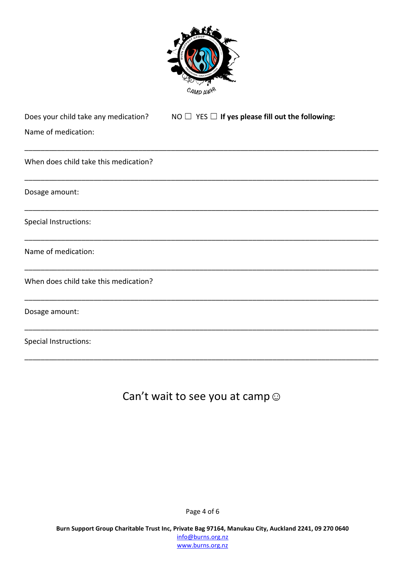

| Does your child take any medication?  | $NO \square$ YES $\square$ If yes please fill out the following: |
|---------------------------------------|------------------------------------------------------------------|
| Name of medication:                   |                                                                  |
| When does child take this medication? |                                                                  |
| Dosage amount:                        |                                                                  |
| Special Instructions:                 |                                                                  |
| Name of medication:                   |                                                                  |
| When does child take this medication? |                                                                  |
| Dosage amount:                        |                                                                  |
| Special Instructions:                 |                                                                  |

# Can't wait to see you at camp  $\odot$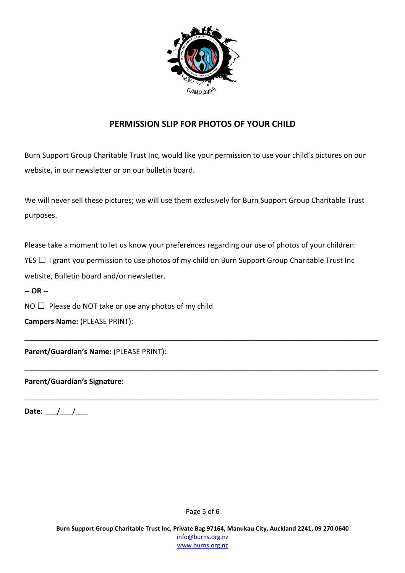

### PERMISSION SLIP FOR PHOTOS OF YOUR CHILD

Burn Support Group Charitable Trust Inc, would like your permission to use your child's pictures on our website, in our newsletter or on our bulletin board.

We will never sell these pictures; we will use them exclusively for Burn Support Group Charitable Trust purposes.

Please take a moment to let us know your preferences regarding our use of photos of your children: YES □ I grant you permission to use photos of my child on Burn Support Group Charitable Trust Inc website, Bulletin board and/or newsletter.

\_\_\_\_\_\_\_\_\_\_\_\_\_\_\_\_\_\_\_\_\_\_\_\_\_\_\_\_\_\_\_\_\_\_\_\_\_\_\_\_\_\_\_\_\_\_\_\_\_\_\_\_\_\_\_\_\_\_\_\_\_\_\_\_\_\_\_\_\_\_\_\_\_\_\_\_\_\_\_\_\_\_\_\_\_\_\_

\_\_\_\_\_\_\_\_\_\_\_\_\_\_\_\_\_\_\_\_\_\_\_\_\_\_\_\_\_\_\_\_\_\_\_\_\_\_\_\_\_\_\_\_\_\_\_\_\_\_\_\_\_\_\_\_\_\_\_\_\_\_\_\_\_\_\_\_\_\_\_\_\_\_\_\_\_\_\_\_\_\_\_\_\_\_\_

\_\_\_\_\_\_\_\_\_\_\_\_\_\_\_\_\_\_\_\_\_\_\_\_\_\_\_\_\_\_\_\_\_\_\_\_\_\_\_\_\_\_\_\_\_\_\_\_\_\_\_\_\_\_\_\_\_\_\_\_\_\_\_\_\_\_\_\_\_\_\_\_\_\_\_\_\_\_\_\_\_\_\_\_\_\_\_

-- OR --

 $NO \Box$  Please do NOT take or use any photos of my child

Campers Name: (PLEASE PRINT):

Parent/Guardian's Name: (PLEASE PRINT):

### Parent/Guardian's Signature:

Date:  $/$  /

Page 5 of 6